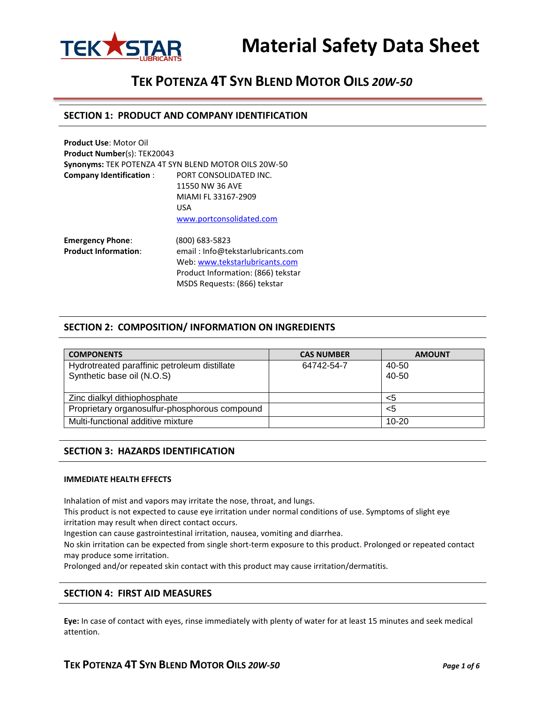

# **TEK POTENZA 4T SYN BLEND MOTOR OILS** *20W-50*

### **SECTION 1: PRODUCT AND COMPANY IDENTIFICATION**

| <b>Product Use: Motor Oil</b>                          |                                                      |
|--------------------------------------------------------|------------------------------------------------------|
| <b>Product Number(s): TEK20043</b>                     |                                                      |
|                                                        | Synonyms: TEK POTENZA 4T SYN BLEND MOTOR OILS 20W-50 |
| <b>Company Identification:</b>                         | PORT CONSOLIDATED INC.                               |
|                                                        | 11550 NW 36 AVE                                      |
|                                                        | MIAMI FL 33167-2909                                  |
|                                                        | USA                                                  |
|                                                        | www.portconsolidated.com                             |
| <b>Emergency Phone:</b><br><b>Product Information:</b> | (800) 683-5823<br>email: Info@tekstarlubricants.co   |

**Product Information**: email : Info@tekstarlubricants.com Web: [www.tekstarlubricants.com](http://www.tekstarlubricants.com/) Product Information: (866) tekstar MSDS Requests: (866) tekstar

### **SECTION 2: COMPOSITION/ INFORMATION ON INGREDIENTS**

| <b>COMPONENTS</b>                             | <b>CAS NUMBER</b> | <b>AMOUNT</b> |
|-----------------------------------------------|-------------------|---------------|
| Hydrotreated paraffinic petroleum distillate  | 64742-54-7        | 40-50         |
| Synthetic base oil (N.O.S)                    |                   | 40-50         |
|                                               |                   |               |
| Zinc dialkyl dithiophosphate                  |                   | <5            |
| Proprietary organosulfur-phosphorous compound |                   | <5            |
| Multi-functional additive mixture             |                   | $10 - 20$     |

#### **SECTION 3: HAZARDS IDENTIFICATION**

#### **IMMEDIATE HEALTH EFFECTS**

Inhalation of mist and vapors may irritate the nose, throat, and lungs.

This product is not expected to cause eye irritation under normal conditions of use. Symptoms of slight eye irritation may result when direct contact occurs.

Ingestion can cause gastrointestinal irritation, nausea, vomiting and diarrhea.

No skin irritation can be expected from single short-term exposure to this product. Prolonged or repeated contact may produce some irritation.

Prolonged and/or repeated skin contact with this product may cause irritation/dermatitis.

### **SECTION 4: FIRST AID MEASURES**

**Eye:** In case of contact with eyes, rinse immediately with plenty of water for at least 15 minutes and seek medical attention.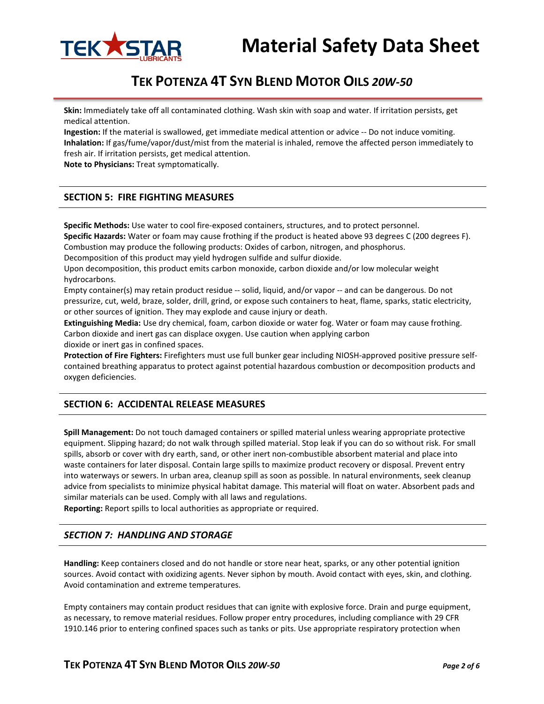

# **TEK POTENZA 4T SYN BLEND MOTOR OILS** *20W-50*

**Skin:** Immediately take off all contaminated clothing. Wash skin with soap and water. If irritation persists, get medical attention.

**Ingestion:** If the material is swallowed, get immediate medical attention or advice -- Do not induce vomiting. **Inhalation:** If gas/fume/vapor/dust/mist from the material is inhaled, remove the affected person immediately to fresh air. If irritation persists, get medical attention.

**Note to Physicians:** Treat symptomatically.

# **SECTION 5: FIRE FIGHTING MEASURES**

**Specific Methods:** Use water to cool fire-exposed containers, structures, and to protect personnel. **Specific Hazards:** Water or foam may cause frothing if the product is heated above 93 degrees C (200 degrees F). Combustion may produce the following products: Oxides of carbon, nitrogen, and phosphorus.

Decomposition of this product may yield hydrogen sulfide and sulfur dioxide.

Upon decomposition, this product emits carbon monoxide, carbon dioxide and/or low molecular weight hydrocarbons.

Empty container(s) may retain product residue -- solid, liquid, and/or vapor -- and can be dangerous. Do not pressurize, cut, weld, braze, solder, drill, grind, or expose such containers to heat, flame, sparks, static electricity, or other sources of ignition. They may explode and cause injury or death.

**Extinguishing Media:** Use dry chemical, foam, carbon dioxide or water fog. Water or foam may cause frothing. Carbon dioxide and inert gas can displace oxygen. Use caution when applying carbon dioxide or inert gas in confined spaces.

**Protection of Fire Fighters:** Firefighters must use full bunker gear including NIOSH-approved positive pressure selfcontained breathing apparatus to protect against potential hazardous combustion or decomposition products and oxygen deficiencies.

## **SECTION 6: ACCIDENTAL RELEASE MEASURES**

**Spill Management:** Do not touch damaged containers or spilled material unless wearing appropriate protective equipment. Slipping hazard; do not walk through spilled material. Stop leak if you can do so without risk. For small spills, absorb or cover with dry earth, sand, or other inert non-combustible absorbent material and place into waste containers for later disposal. Contain large spills to maximize product recovery or disposal. Prevent entry into waterways or sewers. In urban area, cleanup spill as soon as possible. In natural environments, seek cleanup advice from specialists to minimize physical habitat damage. This material will float on water. Absorbent pads and similar materials can be used. Comply with all laws and regulations.

**Reporting:** Report spills to local authorities as appropriate or required.

## *SECTION 7: HANDLING AND STORAGE*

**Handling:** Keep containers closed and do not handle or store near heat, sparks, or any other potential ignition sources. Avoid contact with oxidizing agents. Never siphon by mouth. Avoid contact with eyes, skin, and clothing. Avoid contamination and extreme temperatures.

Empty containers may contain product residues that can ignite with explosive force. Drain and purge equipment, as necessary, to remove material residues. Follow proper entry procedures, including compliance with 29 CFR 1910.146 prior to entering confined spaces such as tanks or pits. Use appropriate respiratory protection when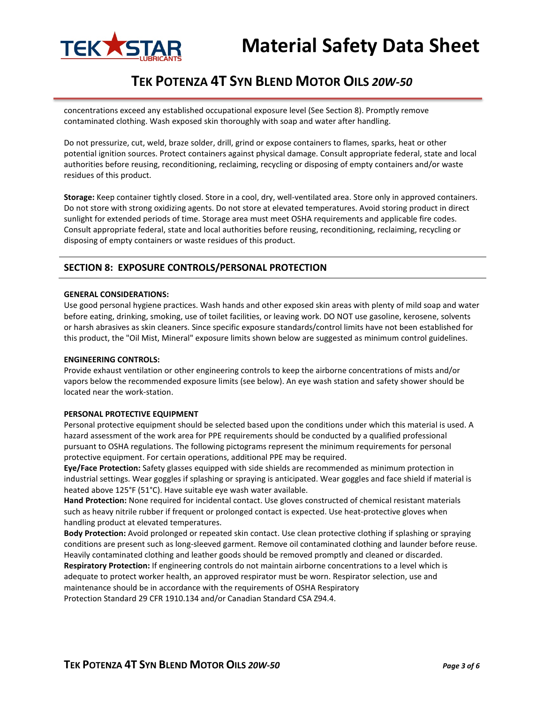

# **TEK POTENZA 4T SYN BLEND MOTOR OILS** *20W-50*

concentrations exceed any established occupational exposure level (See Section 8). Promptly remove contaminated clothing. Wash exposed skin thoroughly with soap and water after handling.

Do not pressurize, cut, weld, braze solder, drill, grind or expose containers to flames, sparks, heat or other potential ignition sources. Protect containers against physical damage. Consult appropriate federal, state and local authorities before reusing, reconditioning, reclaiming, recycling or disposing of empty containers and/or waste residues of this product.

**Storage:** Keep container tightly closed. Store in a cool, dry, well-ventilated area. Store only in approved containers. Do not store with strong oxidizing agents. Do not store at elevated temperatures. Avoid storing product in direct sunlight for extended periods of time. Storage area must meet OSHA requirements and applicable fire codes. Consult appropriate federal, state and local authorities before reusing, reconditioning, reclaiming, recycling or disposing of empty containers or waste residues of this product.

# **SECTION 8: EXPOSURE CONTROLS/PERSONAL PROTECTION**

#### **GENERAL CONSIDERATIONS:**

Use good personal hygiene practices. Wash hands and other exposed skin areas with plenty of mild soap and water before eating, drinking, smoking, use of toilet facilities, or leaving work. DO NOT use gasoline, kerosene, solvents or harsh abrasives as skin cleaners. Since specific exposure standards/control limits have not been established for this product, the "Oil Mist, Mineral" exposure limits shown below are suggested as minimum control guidelines.

#### **ENGINEERING CONTROLS:**

Provide exhaust ventilation or other engineering controls to keep the airborne concentrations of mists and/or vapors below the recommended exposure limits (see below). An eye wash station and safety shower should be located near the work-station.

#### **PERSONAL PROTECTIVE EQUIPMENT**

Personal protective equipment should be selected based upon the conditions under which this material is used. A hazard assessment of the work area for PPE requirements should be conducted by a qualified professional pursuant to OSHA regulations. The following pictograms represent the minimum requirements for personal protective equipment. For certain operations, additional PPE may be required.

**Eye/Face Protection:** Safety glasses equipped with side shields are recommended as minimum protection in industrial settings. Wear goggles if splashing or spraying is anticipated. Wear goggles and face shield if material is heated above 125°F (51°C). Have suitable eye wash water available.

**Hand Protection:** None required for incidental contact. Use gloves constructed of chemical resistant materials such as heavy nitrile rubber if frequent or prolonged contact is expected. Use heat-protective gloves when handling product at elevated temperatures.

**Body Protection:** Avoid prolonged or repeated skin contact. Use clean protective clothing if splashing or spraying conditions are present such as long-sleeved garment. Remove oil contaminated clothing and launder before reuse. Heavily contaminated clothing and leather goods should be removed promptly and cleaned or discarded. **Respiratory Protection:** If engineering controls do not maintain airborne concentrations to a level which is adequate to protect worker health, an approved respirator must be worn. Respirator selection, use and maintenance should be in accordance with the requirements of OSHA Respiratory Protection Standard 29 CFR 1910.134 and/or Canadian Standard CSA Z94.4.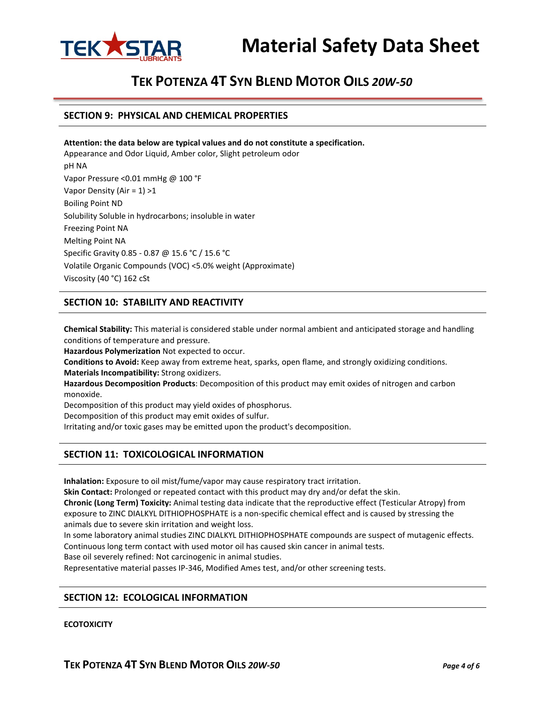

# **TEK POTENZA 4T SYN BLEND MOTOR OILS** *20W-50*

#### **SECTION 9: PHYSICAL AND CHEMICAL PROPERTIES**

**Attention: the data below are typical values and do not constitute a specification.** Appearance and Odor Liquid, Amber color, Slight petroleum odor pH NA Vapor Pressure <0.01 mmHg @ 100 °F Vapor Density (Air = 1) >1 Boiling Point ND Solubility Soluble in hydrocarbons; insoluble in water Freezing Point NA Melting Point NA Specific Gravity 0.85 - 0.87 @ 15.6 °C / 15.6 °C Volatile Organic Compounds (VOC) <5.0% weight (Approximate) Viscosity (40 °C) 162 cSt

# **SECTION 10: STABILITY AND REACTIVITY**

**Chemical Stability:** This material is considered stable under normal ambient and anticipated storage and handling conditions of temperature and pressure.

**Hazardous Polymerization** Not expected to occur.

**Conditions to Avoid:** Keep away from extreme heat, sparks, open flame, and strongly oxidizing conditions. **Materials Incompatibility:** Strong oxidizers.

**Hazardous Decomposition Products**: Decomposition of this product may emit oxides of nitrogen and carbon monoxide.

Decomposition of this product may yield oxides of phosphorus.

Decomposition of this product may emit oxides of sulfur.

Irritating and/or toxic gases may be emitted upon the product's decomposition.

# **SECTION 11: TOXICOLOGICAL INFORMATION**

**Inhalation:** Exposure to oil mist/fume/vapor may cause respiratory tract irritation.

**Skin Contact:** Prolonged or repeated contact with this product may dry and/or defat the skin.

**Chronic (Long Term) Toxicity:** Animal testing data indicate that the reproductive effect (Testicular Atropy) from exposure to ZINC DIALKYL DITHIOPHOSPHATE is a non-specific chemical effect and is caused by stressing the animals due to severe skin irritation and weight loss.

In some laboratory animal studies ZINC DIALKYL DITHIOPHOSPHATE compounds are suspect of mutagenic effects. Continuous long term contact with used motor oil has caused skin cancer in animal tests.

Base oil severely refined: Not carcinogenic in animal studies.

Representative material passes IP-346, Modified Ames test, and/or other screening tests.

## **SECTION 12: ECOLOGICAL INFORMATION**

#### **ECOTOXICITY**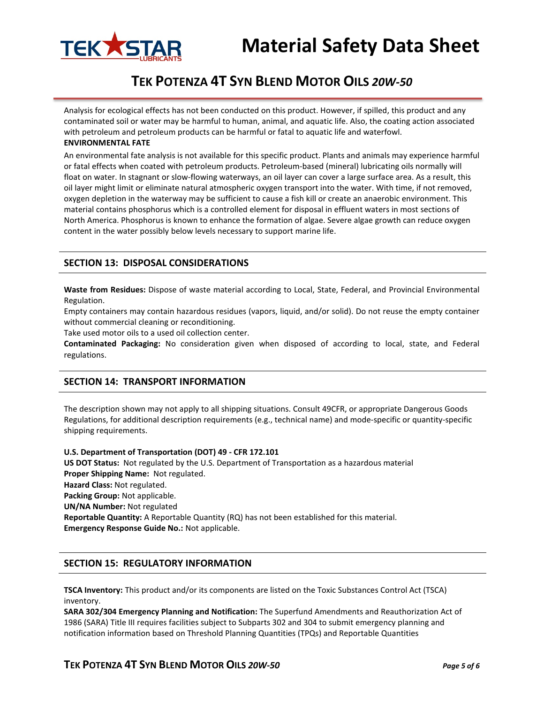

# **TEK POTENZA 4T SYN BLEND MOTOR OILS** *20W-50*

Analysis for ecological effects has not been conducted on this product. However, if spilled, this product and any contaminated soil or water may be harmful to human, animal, and aquatic life. Also, the coating action associated with petroleum and petroleum products can be harmful or fatal to aquatic life and waterfowl.

#### **ENVIRONMENTAL FATE**

An environmental fate analysis is not available for this specific product. Plants and animals may experience harmful or fatal effects when coated with petroleum products. Petroleum-based (mineral) lubricating oils normally will float on water. In stagnant or slow-flowing waterways, an oil layer can cover a large surface area. As a result, this oil layer might limit or eliminate natural atmospheric oxygen transport into the water. With time, if not removed, oxygen depletion in the waterway may be sufficient to cause a fish kill or create an anaerobic environment. This material contains phosphorus which is a controlled element for disposal in effluent waters in most sections of North America. Phosphorus is known to enhance the formation of algae. Severe algae growth can reduce oxygen content in the water possibly below levels necessary to support marine life.

## **SECTION 13: DISPOSAL CONSIDERATIONS**

**Waste from Residues:** Dispose of waste material according to Local, State, Federal, and Provincial Environmental Regulation.

Empty containers may contain hazardous residues (vapors, liquid, and/or solid). Do not reuse the empty container without commercial cleaning or reconditioning.

Take used motor oils to a used oil collection center.

**Contaminated Packaging:** No consideration given when disposed of according to local, state, and Federal regulations.

## **SECTION 14: TRANSPORT INFORMATION**

The description shown may not apply to all shipping situations. Consult 49CFR, or appropriate Dangerous Goods Regulations, for additional description requirements (e.g., technical name) and mode-specific or quantity-specific shipping requirements.

**U.S. Department of Transportation (DOT) 49 - CFR 172.101 US DOT Status:** Not regulated by the U.S. Department of Transportation as a hazardous material **Proper Shipping Name:** Not regulated. **Hazard Class:** Not regulated. **Packing Group:** Not applicable. **UN/NA Number:** Not regulated **Reportable Quantity:** A Reportable Quantity (RQ) has not been established for this material. **Emergency Response Guide No.:** Not applicable.

#### **SECTION 15: REGULATORY INFORMATION**

**TSCA Inventory:** This product and/or its components are listed on the Toxic Substances Control Act (TSCA) inventory.

**SARA 302/304 Emergency Planning and Notification:** The Superfund Amendments and Reauthorization Act of 1986 (SARA) Title III requires facilities subject to Subparts 302 and 304 to submit emergency planning and notification information based on Threshold Planning Quantities (TPQs) and Reportable Quantities